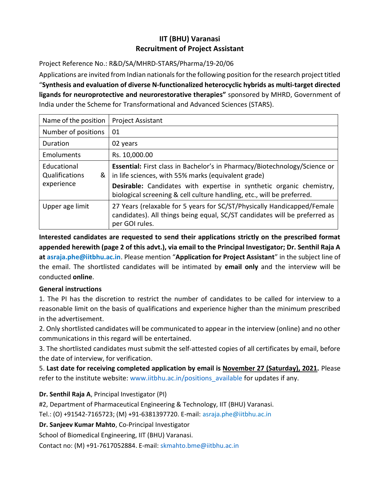## IIT (BHU) Varanasi Recruitment of Project Assistant

Project Reference No.: R&D/SA/MHRD-STARS/Pharma/19-20/06

Applications are invited from Indian nationals for the following position for the research project titled "Synthesis and evaluation of diverse N-functionalized heterocyclic hybrids as multi-target directed ligands for neuroprotective and neurorestorative therapies" sponsored by MHRD, Government of India under the Scheme for Transformational and Advanced Sciences (STARS).

| Name of the position                             | <b>Project Assistant</b>                                                                                                                                                                                                                                                           |  |  |
|--------------------------------------------------|------------------------------------------------------------------------------------------------------------------------------------------------------------------------------------------------------------------------------------------------------------------------------------|--|--|
| Number of positions                              | 01                                                                                                                                                                                                                                                                                 |  |  |
| Duration                                         | 02 years                                                                                                                                                                                                                                                                           |  |  |
| Emoluments                                       | Rs. 10,000.00                                                                                                                                                                                                                                                                      |  |  |
| Educational<br>Qualifications<br>&<br>experience | Essential: First class in Bachelor's in Pharmacy/Biotechnology/Science or<br>in life sciences, with 55% marks (equivalent grade)<br>Desirable: Candidates with expertise in synthetic organic chemistry,<br>biological screening & cell culture handling, etc., will be preferred. |  |  |
| Upper age limit                                  | 27 Years (relaxable for 5 years for SC/ST/Physically Handicapped/Female<br>candidates). All things being equal, SC/ST candidates will be preferred as<br>per GOI rules.                                                                                                            |  |  |

Interested candidates are requested to send their applications strictly on the prescribed format appended herewith (page 2 of this advt.), via email to the Principal Investigator; Dr. Senthil Raja A at asraja.phe@iitbhu.ac.in. Please mention "Application for Project Assistant" in the subject line of the email. The shortlisted candidates will be intimated by email only and the interview will be conducted online.

## General instructions

1. The PI has the discretion to restrict the number of candidates to be called for interview to a reasonable limit on the basis of qualifications and experience higher than the minimum prescribed in the advertisement.

2. Only shortlisted candidates will be communicated to appear in the interview (online) and no other communications in this regard will be entertained.

3. The shortlisted candidates must submit the self-attested copies of all certificates by email, before the date of interview, for verification.

5. Last date for receiving completed application by email is November 27 (Saturday), 2021. Please refer to the institute website: www.iitbhu.ac.in/positions\_available for updates if any.

## Dr. Senthil Raja A, Principal Investigator (PI)

#2, Department of Pharmaceutical Engineering & Technology, IIT (BHU) Varanasi.

Tel.: (O) +91542-7165723; (M) +91-6381397720. E-mail: asraja.phe@iitbhu.ac.in

Dr. Sanjeev Kumar Mahto, Co-Principal Investigator

School of Biomedical Engineering, IIT (BHU) Varanasi.

Contact no: (M) +91-7617052884. E-mail: skmahto.bme@iitbhu.ac.in